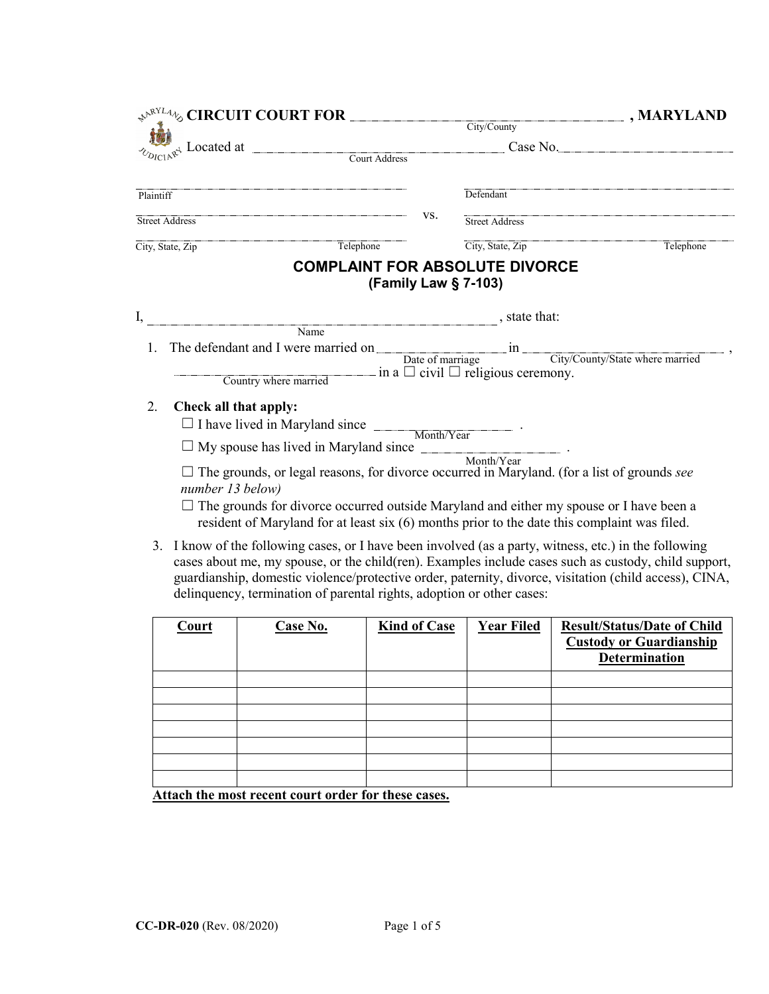|                                                                   | $\mathcal{A}^{\mathcal{P}^{\text{RYLA}}\n}$ % CIRCUIT COURT FOR $\overbrace{\mathcal{A}^{\mathcal{P}^{\text{RYLA}}\n}$ , MARYLAND                                                                                                                                                                                                                                                                                                                                             |     |                                                                                                         |           |
|-------------------------------------------------------------------|-------------------------------------------------------------------------------------------------------------------------------------------------------------------------------------------------------------------------------------------------------------------------------------------------------------------------------------------------------------------------------------------------------------------------------------------------------------------------------|-----|---------------------------------------------------------------------------------------------------------|-----------|
|                                                                   |                                                                                                                                                                                                                                                                                                                                                                                                                                                                               |     |                                                                                                         |           |
| $\frac{1}{x^4}$ Located at $\frac{1}{x^4}$ Court Address Case No. |                                                                                                                                                                                                                                                                                                                                                                                                                                                                               |     |                                                                                                         |           |
|                                                                   |                                                                                                                                                                                                                                                                                                                                                                                                                                                                               |     |                                                                                                         |           |
| Plaintiff                                                         |                                                                                                                                                                                                                                                                                                                                                                                                                                                                               |     | Defendant                                                                                               |           |
|                                                                   | Street Address                                                                                                                                                                                                                                                                                                                                                                                                                                                                | VS. | Street Address                                                                                          |           |
|                                                                   | Telephone<br>City, State, Zip                                                                                                                                                                                                                                                                                                                                                                                                                                                 |     | City, State, Zip                                                                                        | Telephone |
|                                                                   | Name<br>1. The defendant and I were married on <u>Date of marriage and solution</u> in <u>City/County/State where married</u> ,                                                                                                                                                                                                                                                                                                                                               |     | <b>COMPLAINT FOR ABSOLUTE DIVORCE</b><br>(Family Law § 7-103)<br>$\overline{\phantom{a}}$ , state that: |           |
|                                                                   | Country where married                                                                                                                                                                                                                                                                                                                                                                                                                                                         |     | $\equiv$ in a $\Box$ civil $\Box$ religious ceremony.                                                   |           |
| 2.                                                                | Check all that apply:<br>$\Box$ I have lived in Maryland since $\Box$ Month/Year $\Box$<br>$\square$ My spouse has lived in Maryland since $\_\_$<br>$\Box$ The grounds, or legal reasons, for divorce occurred in Maryland. (for a list of grounds see<br>number 13 below)<br>$\Box$ The grounds for divorce occurred outside Maryland and either my spouse or I have been a<br>resident of Maryland for at least six (6) months prior to the date this complaint was filed. |     | Month/Year                                                                                              |           |
|                                                                   | $\mathbf{r}$ and $\mathbf{r}$ and $\mathbf{r}$ and $\mathbf{r}$ and $\mathbf{r}$ and $\mathbf{r}$ and $\mathbf{r}$ and $\mathbf{r}$ and $\mathbf{r}$ and $\mathbf{r}$ and $\mathbf{r}$ and $\mathbf{r}$ and $\mathbf{r}$ and $\mathbf{r}$ and $\mathbf{r}$ and $\mathbf{r}$ and $\mathbf{r}$ and                                                                                                                                                                              |     |                                                                                                         |           |

3. I know of the following cases, or I have been involved (as a party, witness, etc.) in the following cases about me, my spouse, or the child(ren). Examples include cases such as custody, child support, guardianship, domestic violence/protective order, paternity, divorce, visitation (child access), CINA, delinquency, termination of parental rights, adoption or other cases:

| Court | Case No. | <b>Kind of Case</b> | <b>Year Filed</b> | <b>Result/Status/Date of Child</b><br><b>Custody or Guardianship</b><br><b>Determination</b> |
|-------|----------|---------------------|-------------------|----------------------------------------------------------------------------------------------|
|       |          |                     |                   |                                                                                              |
|       |          |                     |                   |                                                                                              |
|       |          |                     |                   |                                                                                              |
|       |          |                     |                   |                                                                                              |
|       |          |                     |                   |                                                                                              |
|       |          |                     |                   |                                                                                              |
|       |          |                     |                   |                                                                                              |

**Attach the most recent court order for these cases.**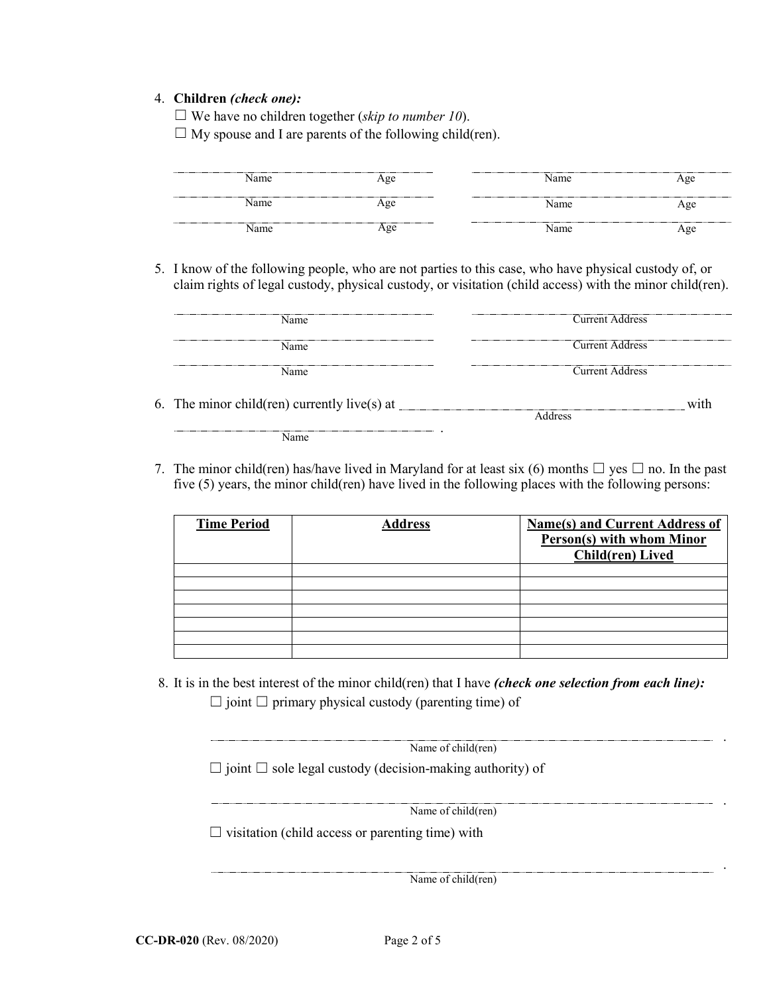## 4. **Children** *(check one):*

☐ We have no children together (*skip to number 10*).

 $\Box$  My spouse and I are parents of the following child(ren).

| Name | Age | Name | Age |
|------|-----|------|-----|
| Name | Age | Name | Age |
| Name | ⊹∝e | Name | Age |

5. I know of the following people, who are not parties to this case, who have physical custody of, or claim rights of legal custody, physical custody, or visitation (child access) with the minor child(ren).

| <b>Name</b>                                  | <b>Current Address</b> |
|----------------------------------------------|------------------------|
| Name                                         | <b>Current Address</b> |
| <b>Name</b>                                  | Current Address        |
| 6. The minor child(ren) currently live(s) at | with<br>Address        |
| Name                                         |                        |

7. The minor child(ren) has/have lived in Maryland for at least six (6) months  $\Box$  yes  $\Box$  no. In the past five (5) years, the minor child(ren) have lived in the following places with the following persons:

| <b>Time Period</b> | <b>Address</b> | <b>Name(s) and Current Address of</b><br><b>Person(s) with whom Minor</b><br><b>Child(ren)</b> Lived |
|--------------------|----------------|------------------------------------------------------------------------------------------------------|
|                    |                |                                                                                                      |
|                    |                |                                                                                                      |
|                    |                |                                                                                                      |
|                    |                |                                                                                                      |
|                    |                |                                                                                                      |
|                    |                |                                                                                                      |
|                    |                |                                                                                                      |

8. It is in the best interest of the minor child(ren) that I have *(check one selection from each line):*  $\Box$  joint  $\Box$  primary physical custody (parenting time) of

 $\Box$  joint  $\Box$  sole legal custody (decision-making authority) of Name of child(ren)

Name of child(ren)

.

.

.

 $\Box$  visitation (child access or parenting time) with

Name of child(ren)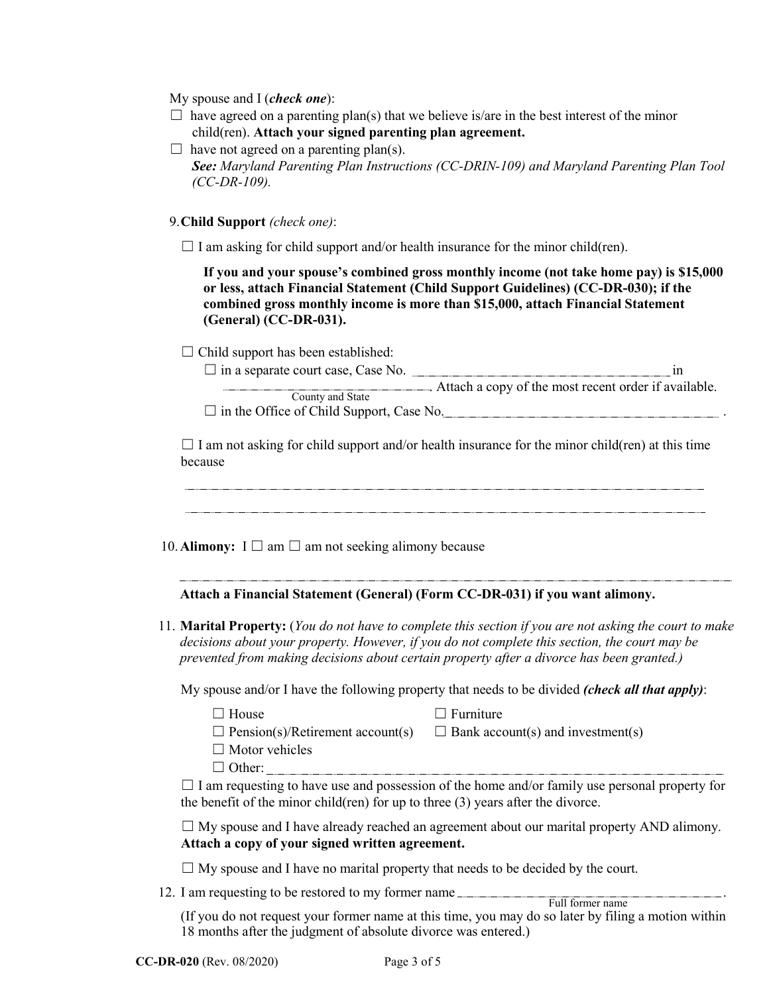My spouse and I (*check one*):

- $\Box$  have agreed on a parenting plan(s) that we believe is/are in the best interest of the minor child(ren). **Attach your signed parenting plan agreement.**
- $\Box$  have not agreed on a parenting plan(s). *See: Maryland Parenting Plan Instructions (CC-DRIN-109) and Maryland Parenting Plan Tool (CC-DR-109).*

9. **Child Support** *(check one)*:

 $\Box$  I am asking for child support and/or health insurance for the minor child(ren).

**If you and your spouse's combined gross monthly income (not take home pay) is \$15,000 or less, attach Financial Statement (Child Support Guidelines) (CC-DR-030); if the combined gross monthly income is more than \$15,000, attach Financial Statement (General) (CC-DR-031).**

 $\Box$  Child support has been established:

| $\Box$ in a separate court case, Case No.       |                                                        |
|-------------------------------------------------|--------------------------------------------------------|
|                                                 | . Attach a copy of the most recent order if available. |
| County and State                                |                                                        |
| $\Box$ in the Office of Child Support, Case No. |                                                        |

 $\Box$  I am not asking for child support and/or health insurance for the minor child(ren) at this time because

10. **Alimony:**  $I \square$  am  $\square$  am not seeking alimony because

# **Attach a Financial Statement (General) (Form CC-DR-031) if you want alimony.**

11. **Marital Property:** (*You do not have to complete this section if you are not asking the court to make decisions about your property. However, if you do not complete this section, the court may be prevented from making decisions about certain property after a divorce has been granted.)*

My spouse and/or I have the following property that needs to be divided *(check all that apply)*:

- 
- $\Box$  House  $\Box$  Furniture
- $\Box$  Pension(s)/Retirement account(s)  $\Box$  Bank account(s) and investment(s)
- $\Box$  Motor vehicles
- ☐ Other:

 $\Box$  I am requesting to have use and possession of the home and/or family use personal property for the benefit of the minor child(ren) for up to three (3) years after the divorce.

 $\Box$  My spouse and I have already reached an agreement about our marital property AND alimony. **Attach a copy of your signed written agreement.**

 $\Box$  My spouse and I have no marital property that needs to be decided by the court.

12. I am requesting to be restored to my former name . Full former name

(If you do not request your former name at this time, you may do so later by filing a motion within 18 months after the judgment of absolute divorce was entered.)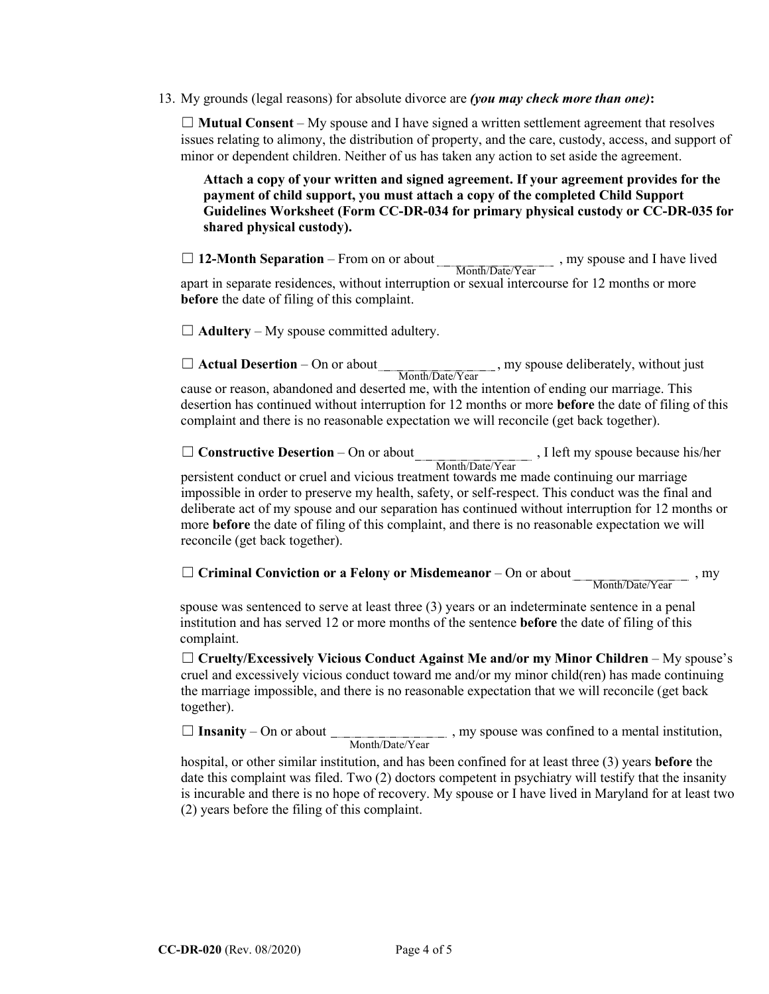13. My grounds (legal reasons) for absolute divorce are *(you may check more than one)***:**

☐ **Mutual Consent** – My spouse and I have signed a written settlement agreement that resolves issues relating to alimony, the distribution of property, and the care, custody, access, and support of minor or dependent children. Neither of us has taken any action to set aside the agreement.

**Attach a copy of your written and signed agreement. If your agreement provides for the payment of child support, you must attach a copy of the completed Child Support Guidelines Worksheet (Form CC-DR-034 for primary physical custody or CC-DR-035 for shared physical custody).**

□ 12-Month Separation – From on or about , my spouse and I have lived apart in separate residences, without interruption or sexual intercourse for 12 months or more **before** the date of filing of this complaint. Month/Date/Year

 $\Box$  **Adultery** – My spouse committed adultery.

□ **Actual Desertion** – On or about , my spouse deliberately, without just cause or reason, abandoned and deserted me, with the intention of ending our marriage. This Month/Date/Year

desertion has continued without interruption for 12 months or more **before** the date of filing of this complaint and there is no reasonable expectation we will reconcile (get back together).

□ **Constructive Desertion** – On or about , I left my spouse because his/her persistent conduct or cruel and vicious treatment towards me made continuing our marriage impossible in order to preserve my health, safety, or self-respect. This conduct was the final and deliberate act of my spouse and our separation has continued without interruption for 12 months or more **before** the date of filing of this complaint, and there is no reasonable expectation we will reconcile (get back together). Month/Date/Year

☐ **Criminal Conviction or a Felony or Misdemeanor** – On or about , my

Month/Date/Year

spouse was sentenced to serve at least three (3) years or an indeterminate sentence in a penal institution and has served 12 or more months of the sentence **before** the date of filing of this complaint.

☐ **Cruelty/Excessively Vicious Conduct Against Me and/or my Minor Children** – My spouse's cruel and excessively vicious conduct toward me and/or my minor child(ren) has made continuing the marriage impossible, and there is no reasonable expectation that we will reconcile (get back together).

□ **Insanity** – On or about \_\_\_\_\_\_\_\_\_\_\_\_\_\_\_\_\_\_\_\_\_\_, my spouse was confined to a mental institution, Month/Date/Year

hospital, or other similar institution, and has been confined for at least three (3) years **before** the date this complaint was filed. Two (2) doctors competent in psychiatry will testify that the insanity is incurable and there is no hope of recovery. My spouse or I have lived in Maryland for at least two (2) years before the filing of this complaint.